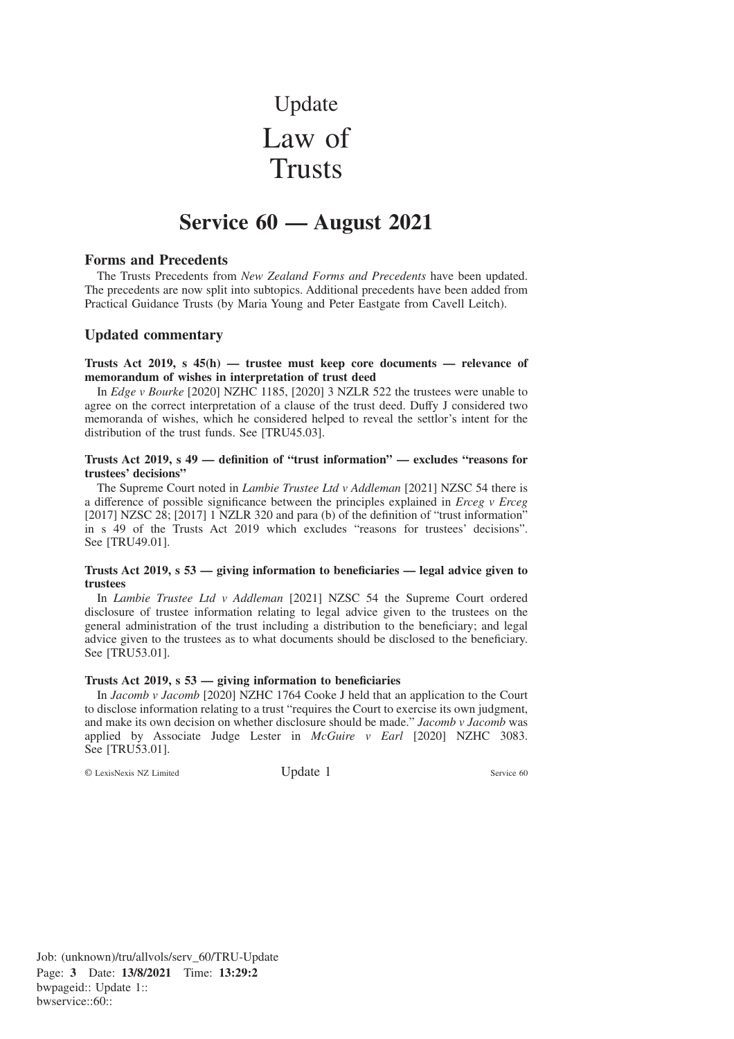# Update Law of **Trusts**

# **Service 60 — August 2021**

# **Forms and Precedents**

The Trusts Precedents from *New Zealand Forms and Precedents* have been updated. The precedents are now split into subtopics. Additional precedents have been added from Practical Guidance Trusts (by Maria Young and Peter Eastgate from Cavell Leitch).

# **Updated commentary**

**Trusts Act 2019, s 45(h) — trustee must keep core documents — relevance of memorandum of wishes in interpretation of trust deed**

In *Edge v Bourke* [2020] NZHC 1185, [2020] 3 NZLR 522 the trustees were unable to agree on the correct interpretation of a clause of the trust deed. Duffy J considered two memoranda of wishes, which he considered helped to reveal the settlor's intent for the distribution of the trust funds. See [TRU45.03].

#### **Trusts Act 2019, s 49 — definition of "trust information" — excludes "reasons for trustees' decisions"**

The Supreme Court noted in *Lambie Trustee Ltd v Addleman* [2021] NZSC 54 there is a difference of possible significance between the principles explained in *Erceg v Erceg* [2017] NZSC 28; [2017] 1 NZLR 320 and para (b) of the definition of "trust information" in s 49 of the Trusts Act 2019 which excludes "reasons for trustees' decisions". See [TRU49.01].

#### **Trusts Act 2019, s 53 — giving information to beneficiaries — legal advice given to trustees**

In *Lambie Trustee Ltd v Addleman* [2021] NZSC 54 the Supreme Court ordered disclosure of trustee information relating to legal advice given to the trustees on the general administration of the trust including a distribution to the beneficiary; and legal advice given to the trustees as to what documents should be disclosed to the beneficiary. See [TRU53.01].

#### **Trusts Act 2019, s 53 — giving information to beneficiaries**

In *Jacomb v Jacomb* [2020] NZHC 1764 Cooke J held that an application to the Court to disclose information relating to a trust "requires the Court to exercise its own judgment, and make its own decision on whether disclosure should be made." *Jacomb v Jacomb* was applied by Associate Judge Lester in *McGuire v Earl* [2020] NZHC 3083. See [TRU53.01].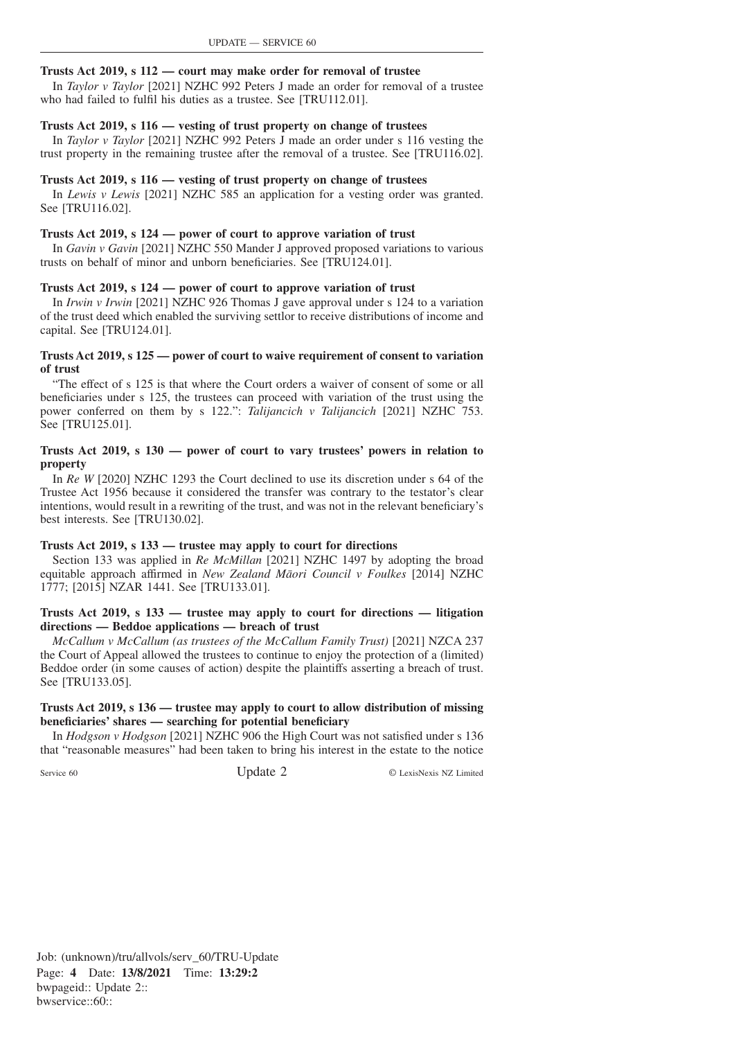# **Trusts Act 2019, s 112 — court may make order for removal of trustee**

In *Taylor v Taylor* [2021] NZHC 992 Peters J made an order for removal of a trustee who had failed to fulfil his duties as a trustee. See [TRU112.01].

# **Trusts Act 2019, s 116 — vesting of trust property on change of trustees**

In *Taylor v Taylor* [2021] NZHC 992 Peters J made an order under s 116 vesting the trust property in the remaining trustee after the removal of a trustee. See [TRU116.02].

# **Trusts Act 2019, s 116 — vesting of trust property on change of trustees**

In *Lewis v Lewis* [2021] NZHC 585 an application for a vesting order was granted. See [TRU116.02].

# **Trusts Act 2019, s 124 — power of court to approve variation of trust**

In *Gavin v Gavin* [2021] NZHC 550 Mander J approved proposed variations to various trusts on behalf of minor and unborn beneficiaries. See [TRU124.01].

# **Trusts Act 2019, s 124 — power of court to approve variation of trust**

In *Irwin v Irwin* [2021] NZHC 926 Thomas J gave approval under s 124 to a variation of the trust deed which enabled the surviving settlor to receive distributions of income and capital. See [TRU124.01].

# **Trusts Act 2019, s 125 — power of court to waive requirement of consent to variation of trust**

"The effect of s 125 is that where the Court orders a waiver of consent of some or all beneficiaries under s 125, the trustees can proceed with variation of the trust using the power conferred on them by s 122.": *Talijancich v Talijancich* [2021] NZHC 753. See [TRU125.01].

# **Trusts Act 2019, s 130 — power of court to vary trustees' powers in relation to property**

In *Re W* [2020] NZHC 1293 the Court declined to use its discretion under s 64 of the Trustee Act 1956 because it considered the transfer was contrary to the testator's clear intentions, would result in a rewriting of the trust, and was not in the relevant beneficiary's best interests. See [TRU130.02].

# **Trusts Act 2019, s 133 — trustee may apply to court for directions**

Section 133 was applied in *Re McMillan* [2021] NZHC 1497 by adopting the broad equitable approach affirmed in *New Zealand Ma¯ori Council v Foulkes* [2014] NZHC 1777; [2015] NZAR 1441. See [TRU133.01].

#### **Trusts Act 2019, s 133 — trustee may apply to court for directions — litigation directions — Beddoe applications — breach of trust**

*McCallum v McCallum (as trustees of the McCallum Family Trust)* [2021] NZCA 237 the Court of Appeal allowed the trustees to continue to enjoy the protection of a (limited) Beddoe order (in some causes of action) despite the plaintiffs asserting a breach of trust. See [TRU133.05].

# **Trusts Act 2019, s 136 — trustee may apply to court to allow distribution of missing beneficiaries' shares — searching for potential beneficiary**

In *Hodgson v Hodgson* [2021] NZHC 906 the High Court was not satisfied under s 136 that "reasonable measures" had been taken to bring his interest in the estate to the notice